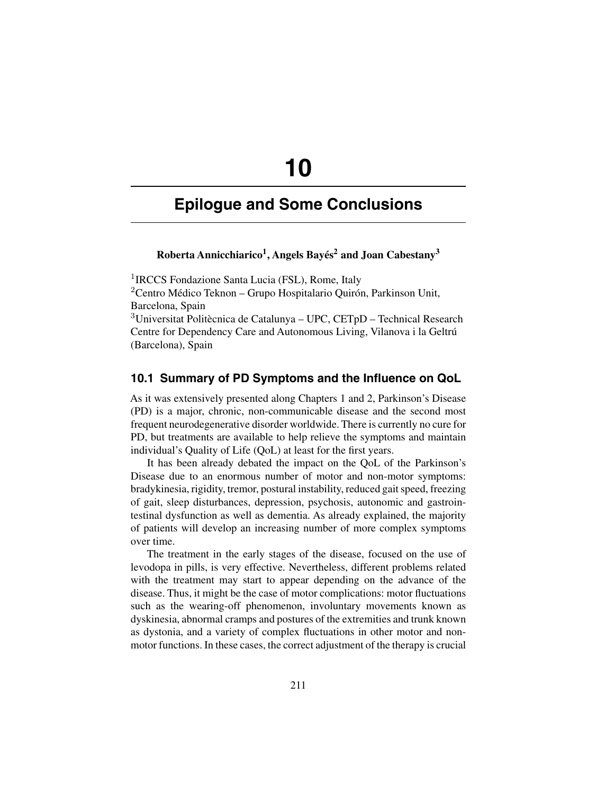# **10**

# **Epilogue and Some Conclusions**

# **Roberta Annicchiarico1, Angels Bayés2 and Joan Cabestany3**

<sup>1</sup>IRCCS Fondazione Santa Lucia (FSL), Rome, Italy <sup>2</sup>Centro Médico Teknon – Grupo Hospitalario Quirón, Parkinson Unit, Barcelona, Spain  $3$ Universitat Politècnica de Catalunya – UPC, CETpD – Technical Research Centre for Dependency Care and Autonomous Living, Vilanova i la Geltrú (Barcelona), Spain

## **10.1 Summary of PD Symptoms and the Influence on QoL**

As it was extensively presented along Chapters 1 and 2, Parkinson's Disease (PD) is a major, chronic, non-communicable disease and the second most frequent neurodegenerative disorder worldwide. There is currently no cure for PD, but treatments are available to help relieve the symptoms and maintain individual's Quality of Life (QoL) at least for the first years.

It has been already debated the impact on the QoL of the Parkinson's Disease due to an enormous number of motor and non-motor symptoms: bradykinesia, rigidity, tremor, postural instability, reduced gait speed, freezing of gait, sleep disturbances, depression, psychosis, autonomic and gastrointestinal dysfunction as well as dementia. As already explained, the majority of patients will develop an increasing number of more complex symptoms over time.

The treatment in the early stages of the disease, focused on the use of levodopa in pills, is very effective. Nevertheless, different problems related with the treatment may start to appear depending on the advance of the disease. Thus, it might be the case of motor complications: motor fluctuations such as the wearing-off phenomenon, involuntary movements known as dyskinesia, abnormal cramps and postures of the extremities and trunk known as dystonia, and a variety of complex fluctuations in other motor and nonmotor functions. In these cases, the correct adjustment of the therapy is crucial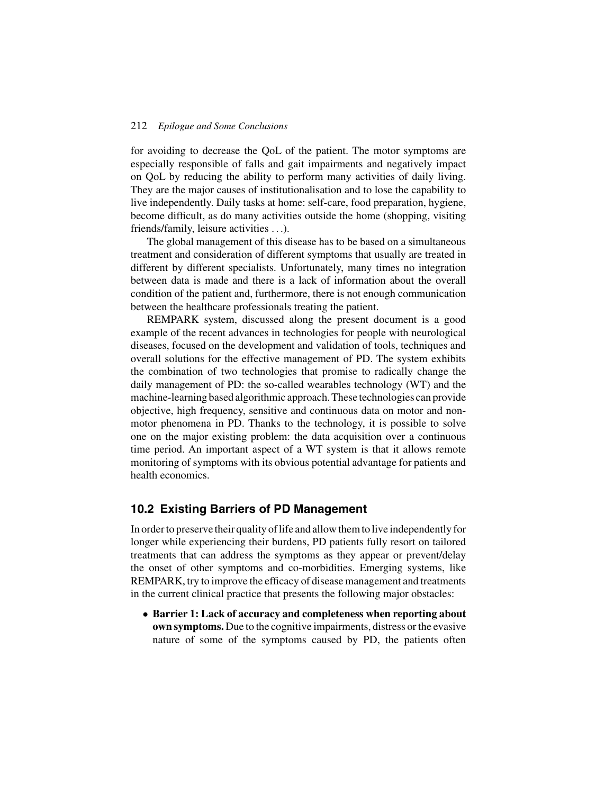for avoiding to decrease the QoL of the patient. The motor symptoms are especially responsible of falls and gait impairments and negatively impact on QoL by reducing the ability to perform many activities of daily living. They are the major causes of institutionalisation and to lose the capability to live independently. Daily tasks at home: self-care, food preparation, hygiene, become difficult, as do many activities outside the home (shopping, visiting friends/family, leisure activities . . .).

The global management of this disease has to be based on a simultaneous treatment and consideration of different symptoms that usually are treated in different by different specialists. Unfortunately, many times no integration between data is made and there is a lack of information about the overall condition of the patient and, furthermore, there is not enough communication between the healthcare professionals treating the patient.

REMPARK system, discussed along the present document is a good example of the recent advances in technologies for people with neurological diseases, focused on the development and validation of tools, techniques and overall solutions for the effective management of PD. The system exhibits the combination of two technologies that promise to radically change the daily management of PD: the so-called wearables technology (WT) and the machine-learning based algorithmic approach.These technologies can provide objective, high frequency, sensitive and continuous data on motor and nonmotor phenomena in PD. Thanks to the technology, it is possible to solve one on the major existing problem: the data acquisition over a continuous time period. An important aspect of a WT system is that it allows remote monitoring of symptoms with its obvious potential advantage for patients and health economics.

# **10.2 Existing Barriers of PD Management**

In order to preserve their quality of life and allow them to live independently for longer while experiencing their burdens, PD patients fully resort on tailored treatments that can address the symptoms as they appear or prevent/delay the onset of other symptoms and co-morbidities. Emerging systems, like REMPARK, try to improve the efficacy of disease management and treatments in the current clinical practice that presents the following major obstacles:

• **Barrier 1: Lack of accuracy and completeness when reporting about own symptoms.** Due to the cognitive impairments, distress or the evasive nature of some of the symptoms caused by PD, the patients often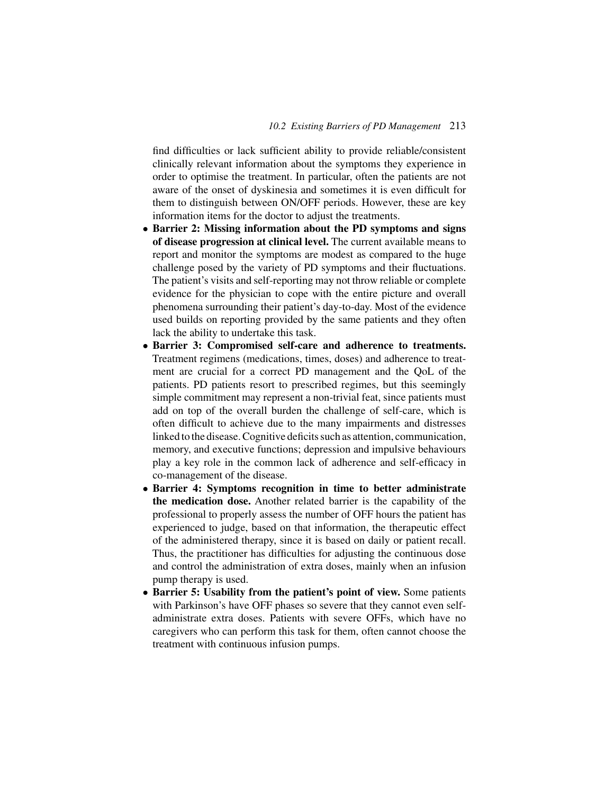find difficulties or lack sufficient ability to provide reliable/consistent clinically relevant information about the symptoms they experience in order to optimise the treatment. In particular, often the patients are not aware of the onset of dyskinesia and sometimes it is even difficult for them to distinguish between ON/OFF periods. However, these are key information items for the doctor to adjust the treatments.

- **Barrier 2: Missing information about the PD symptoms and signs of disease progression at clinical level.** The current available means to report and monitor the symptoms are modest as compared to the huge challenge posed by the variety of PD symptoms and their fluctuations. The patient's visits and self-reporting may not throw reliable or complete evidence for the physician to cope with the entire picture and overall phenomena surrounding their patient's day-to-day. Most of the evidence used builds on reporting provided by the same patients and they often lack the ability to undertake this task.
- **Barrier 3: Compromised self-care and adherence to treatments.** Treatment regimens (medications, times, doses) and adherence to treatment are crucial for a correct PD management and the QoL of the patients. PD patients resort to prescribed regimes, but this seemingly simple commitment may represent a non-trivial feat, since patients must add on top of the overall burden the challenge of self-care, which is often difficult to achieve due to the many impairments and distresses linked to the disease. Cognitive deficits such as attention, communication, memory, and executive functions; depression and impulsive behaviours play a key role in the common lack of adherence and self-efficacy in co-management of the disease.
- **Barrier 4: Symptoms recognition in time to better administrate the medication dose.** Another related barrier is the capability of the professional to properly assess the number of OFF hours the patient has experienced to judge, based on that information, the therapeutic effect of the administered therapy, since it is based on daily or patient recall. Thus, the practitioner has difficulties for adjusting the continuous dose and control the administration of extra doses, mainly when an infusion pump therapy is used.
- **Barrier 5: Usability from the patient's point of view.** Some patients with Parkinson's have OFF phases so severe that they cannot even selfadministrate extra doses. Patients with severe OFFs, which have no caregivers who can perform this task for them, often cannot choose the treatment with continuous infusion pumps.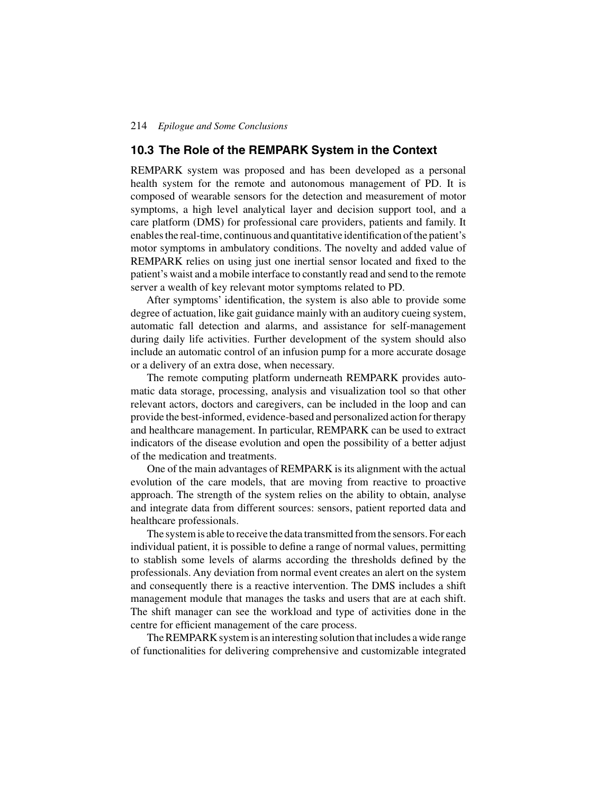# **10.3 The Role of the REMPARK System in the Context**

REMPARK system was proposed and has been developed as a personal health system for the remote and autonomous management of PD. It is composed of wearable sensors for the detection and measurement of motor symptoms, a high level analytical layer and decision support tool, and a care platform (DMS) for professional care providers, patients and family. It enables the real-time, continuous and quantitative identification of the patient's motor symptoms in ambulatory conditions. The novelty and added value of REMPARK relies on using just one inertial sensor located and fixed to the patient's waist and a mobile interface to constantly read and send to the remote server a wealth of key relevant motor symptoms related to PD.

After symptoms' identification, the system is also able to provide some degree of actuation, like gait guidance mainly with an auditory cueing system, automatic fall detection and alarms, and assistance for self-management during daily life activities. Further development of the system should also include an automatic control of an infusion pump for a more accurate dosage or a delivery of an extra dose, when necessary.

The remote computing platform underneath REMPARK provides automatic data storage, processing, analysis and visualization tool so that other relevant actors, doctors and caregivers, can be included in the loop and can provide the best-informed, evidence-based and personalized action for therapy and healthcare management. In particular, REMPARK can be used to extract indicators of the disease evolution and open the possibility of a better adjust of the medication and treatments.

One of the main advantages of REMPARK is its alignment with the actual evolution of the care models, that are moving from reactive to proactive approach. The strength of the system relies on the ability to obtain, analyse and integrate data from different sources: sensors, patient reported data and healthcare professionals.

The system is able to receive the data transmitted from the sensors. For each individual patient, it is possible to define a range of normal values, permitting to stablish some levels of alarms according the thresholds defined by the professionals. Any deviation from normal event creates an alert on the system and consequently there is a reactive intervention. The DMS includes a shift management module that manages the tasks and users that are at each shift. The shift manager can see the workload and type of activities done in the centre for efficient management of the care process.

The REMPARK system is an interesting solution that includes a wide range of functionalities for delivering comprehensive and customizable integrated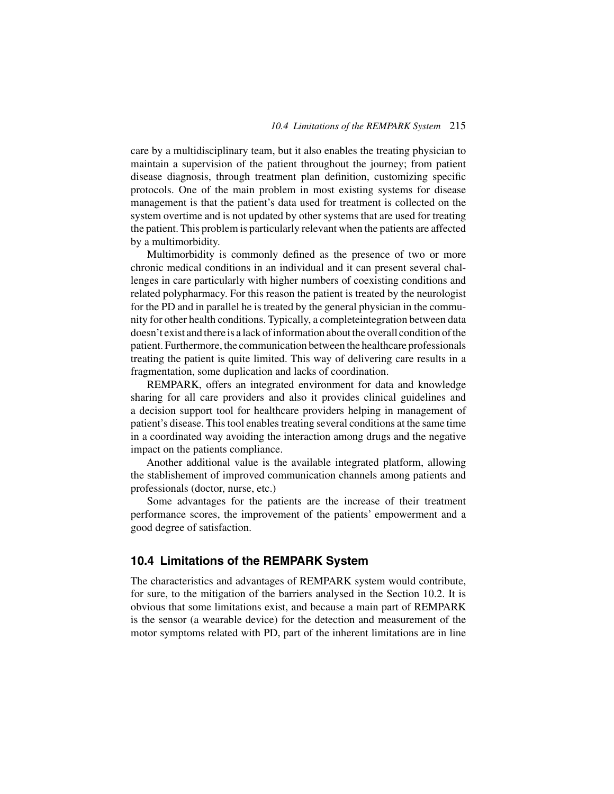care by a multidisciplinary team, but it also enables the treating physician to maintain a supervision of the patient throughout the journey; from patient disease diagnosis, through treatment plan definition, customizing specific protocols. One of the main problem in most existing systems for disease management is that the patient's data used for treatment is collected on the system overtime and is not updated by other systems that are used for treating the patient. This problem is particularly relevant when the patients are affected by a multimorbidity.

Multimorbidity is commonly defined as the presence of two or more chronic medical conditions in an individual and it can present several challenges in care particularly with higher numbers of coexisting conditions and related polypharmacy. For this reason the patient is treated by the neurologist for the PD and in parallel he is treated by the general physician in the community for other health conditions. Typically, a completeintegration between data doesn't exist and there is a lack of information about the overall condition of the patient. Furthermore, the communication between the healthcare professionals treating the patient is quite limited. This way of delivering care results in a fragmentation, some duplication and lacks of coordination.

REMPARK, offers an integrated environment for data and knowledge sharing for all care providers and also it provides clinical guidelines and a decision support tool for healthcare providers helping in management of patient's disease. This tool enables treating several conditions at the same time in a coordinated way avoiding the interaction among drugs and the negative impact on the patients compliance.

Another additional value is the available integrated platform, allowing the stablishement of improved communication channels among patients and professionals (doctor, nurse, etc.)

Some advantages for the patients are the increase of their treatment performance scores, the improvement of the patients' empowerment and a good degree of satisfaction.

## **10.4 Limitations of the REMPARK System**

The characteristics and advantages of REMPARK system would contribute, for sure, to the mitigation of the barriers analysed in the Section 10.2. It is obvious that some limitations exist, and because a main part of REMPARK is the sensor (a wearable device) for the detection and measurement of the motor symptoms related with PD, part of the inherent limitations are in line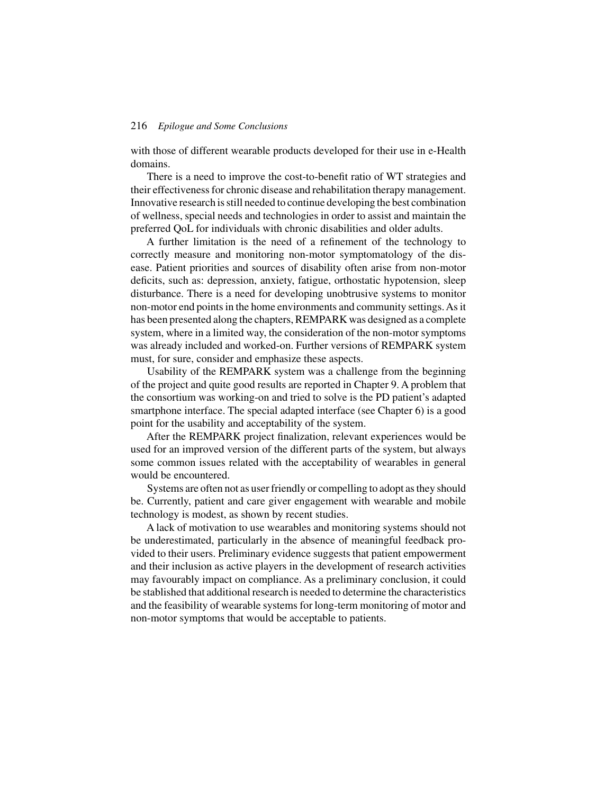with those of different wearable products developed for their use in e-Health domains.

There is a need to improve the cost-to-benefit ratio of WT strategies and their effectiveness for chronic disease and rehabilitation therapy management. Innovative research is still needed to continue developing the best combination of wellness, special needs and technologies in order to assist and maintain the preferred QoL for individuals with chronic disabilities and older adults.

A further limitation is the need of a refinement of the technology to correctly measure and monitoring non-motor symptomatology of the disease. Patient priorities and sources of disability often arise from non-motor deficits, such as: depression, anxiety, fatigue, orthostatic hypotension, sleep disturbance. There is a need for developing unobtrusive systems to monitor non-motor end points in the home environments and community settings.As it has been presented along the chapters, REMPARK was designed as a complete system, where in a limited way, the consideration of the non-motor symptoms was already included and worked-on. Further versions of REMPARK system must, for sure, consider and emphasize these aspects.

Usability of the REMPARK system was a challenge from the beginning of the project and quite good results are reported in Chapter 9. A problem that the consortium was working-on and tried to solve is the PD patient's adapted smartphone interface. The special adapted interface (see Chapter 6) is a good point for the usability and acceptability of the system.

After the REMPARK project finalization, relevant experiences would be used for an improved version of the different parts of the system, but always some common issues related with the acceptability of wearables in general would be encountered.

Systems are often not as user friendly or compelling to adopt as they should be. Currently, patient and care giver engagement with wearable and mobile technology is modest, as shown by recent studies.

A lack of motivation to use wearables and monitoring systems should not be underestimated, particularly in the absence of meaningful feedback provided to their users. Preliminary evidence suggests that patient empowerment and their inclusion as active players in the development of research activities may favourably impact on compliance. As a preliminary conclusion, it could be stablished that additional research is needed to determine the characteristics and the feasibility of wearable systems for long-term monitoring of motor and non-motor symptoms that would be acceptable to patients.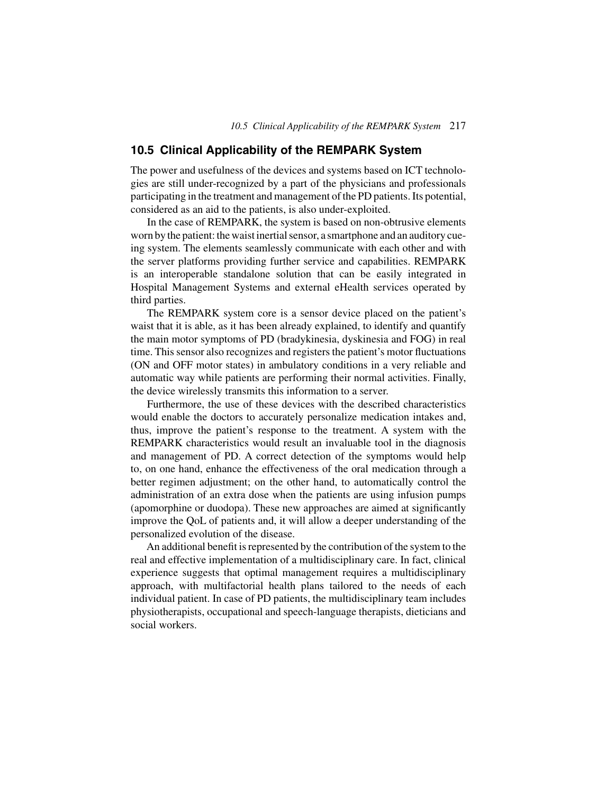# **10.5 Clinical Applicability of the REMPARK System**

The power and usefulness of the devices and systems based on ICT technologies are still under-recognized by a part of the physicians and professionals participating in the treatment and management of the PD patients. Its potential, considered as an aid to the patients, is also under-exploited.

In the case of REMPARK, the system is based on non-obtrusive elements worn by the patient: the waist inertial sensor, a smartphone and an auditory cueing system. The elements seamlessly communicate with each other and with the server platforms providing further service and capabilities. REMPARK is an interoperable standalone solution that can be easily integrated in Hospital Management Systems and external eHealth services operated by third parties.

The REMPARK system core is a sensor device placed on the patient's waist that it is able, as it has been already explained, to identify and quantify the main motor symptoms of PD (bradykinesia, dyskinesia and FOG) in real time. This sensor also recognizes and registers the patient's motor fluctuations (ON and OFF motor states) in ambulatory conditions in a very reliable and automatic way while patients are performing their normal activities. Finally, the device wirelessly transmits this information to a server.

Furthermore, the use of these devices with the described characteristics would enable the doctors to accurately personalize medication intakes and, thus, improve the patient's response to the treatment. A system with the REMPARK characteristics would result an invaluable tool in the diagnosis and management of PD. A correct detection of the symptoms would help to, on one hand, enhance the effectiveness of the oral medication through a better regimen adjustment; on the other hand, to automatically control the administration of an extra dose when the patients are using infusion pumps (apomorphine or duodopa). These new approaches are aimed at significantly improve the QoL of patients and, it will allow a deeper understanding of the personalized evolution of the disease.

An additional benefit is represented by the contribution of the system to the real and effective implementation of a multidisciplinary care. In fact, clinical experience suggests that optimal management requires a multidisciplinary approach, with multifactorial health plans tailored to the needs of each individual patient. In case of PD patients, the multidisciplinary team includes physiotherapists, occupational and speech-language therapists, dieticians and social workers.